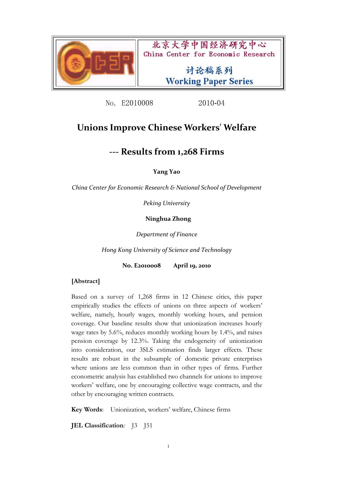

北京大学中国经济研究中心 China Center for Economic Research

> 讨论稿系列 **Working Paper Series**

No. E2010008 2010-04

# **Unions Improve Chinese Workers' Welfare**

# **‐‐‐ Results from 1,268 Firms**

**Yang Yao**

*China Center for Economic Research & National School of Development*

*Peking University*

**Ninghua Zhong**

*Department of Finance*

*Hong Kong University of Science and Technology*

**No. E2010008 April 19, 2010**

## **[Abstract]**

Based on a survey of 1,268 firms in 12 Chinese cities, this paper empirically studies the effects of unions on three aspects of workers' welfare, namely, hourly wages, monthly working hours, and pension coverage. Our baseline results show that unionization increases hourly wage rates by 5.6%, reduces monthly working hours by 1.4%, and raises pension coverage by 12.3%. Taking the endogeneity of unionization into consideration, our 3SLS estimation finds larger effects. These results are robust in the subsample of domestic private enterprises where unions are less common than in other types of firms. Further econometric analysis has established two channels for unions to improve workers' welfare, one by encouraging collective wage contracts, and the other by encouraging written contracts.

**Key Words**: Unionization, workers' welfare, Chinese firms

**JEL Classification***:* J3 J51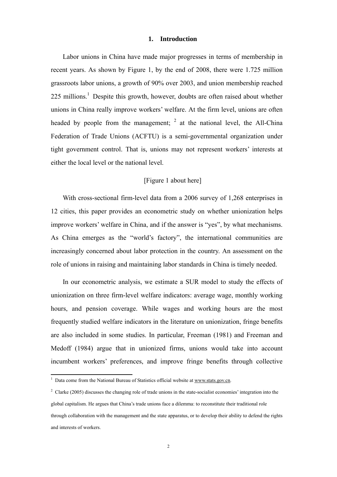#### **1. Introduction**

Labor unions in China have made major progresses in terms of membership in recent years. As shown by Figure 1, by the end of 2008, there were 1.725 million grassroots labor unions, a growth of 90% over 2003, and union membership reached  $225$  millions.<sup>1</sup> Despite this growth, however, doubts are often raised about whether unions in China really improve workers' welfare. At the firm level, unions are often headed by people from the management;  $2$  at the national level, the All-China Federation of Trade Unions (ACFTU) is a semi-governmental organization under tight government control. That is, unions may not represent workers' interests at either the local level or the national level.

## [Figure 1 about here]

With cross-sectional firm-level data from a 2006 survey of 1,268 enterprises in 12 cities, this paper provides an econometric study on whether unionization helps improve workers' welfare in China, and if the answer is "yes", by what mechanisms. As China emerges as the "world's factory", the international communities are increasingly concerned about labor protection in the country. An assessment on the role of unions in raising and maintaining labor standards in China is timely needed.

In our econometric analysis, we estimate a SUR model to study the effects of unionization on three firm-level welfare indicators: average wage, monthly working hours, and pension coverage. While wages and working hours are the most frequently studied welfare indicators in the literature on unionization, fringe benefits are also included in some studies. In particular, Freeman (1981) and Freeman and Medoff (1984) argue that in unionized firms, unions would take into account incumbent workers' preferences, and improve fringe benefits through collective

<sup>&</sup>lt;sup>1</sup> Data come from the National Bureau of Statistics official website at www.stats.gov.cn.

<sup>&</sup>lt;sup>2</sup> Clarke (2005) discusses the changing role of trade unions in the state-socialist economies' integration into the global capitalism. He argues that China's trade unions face a dilemma: to reconstitute their traditional role through collaboration with the management and the state apparatus, or to develop their ability to defend the rights and interests of workers.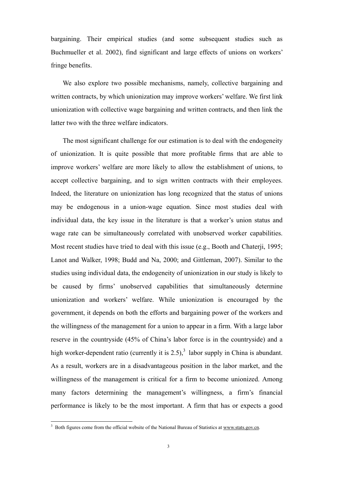bargaining. Their empirical studies (and some subsequent studies such as Buchmueller et al. 2002), find significant and large effects of unions on workers' fringe benefits.

We also explore two possible mechanisms, namely, collective bargaining and written contracts, by which unionization may improve workers' welfare. We first link unionization with collective wage bargaining and written contracts, and then link the latter two with the three welfare indicators.

The most significant challenge for our estimation is to deal with the endogeneity of unionization. It is quite possible that more profitable firms that are able to improve workers' welfare are more likely to allow the establishment of unions, to accept collective bargaining, and to sign written contracts with their employees. Indeed, the literature on unionization has long recognized that the status of unions may be endogenous in a union-wage equation. Since most studies deal with individual data, the key issue in the literature is that a worker's union status and wage rate can be simultaneously correlated with unobserved worker capabilities. Most recent studies have tried to deal with this issue (e.g., Booth and Chaterii, 1995; Lanot and Walker, 1998; Budd and Na, 2000; and Gittleman, 2007). Similar to the studies using individual data, the endogeneity of unionization in our study is likely to be caused by firms' unobserved capabilities that simultaneously determine unionization and workers' welfare. While unionization is encouraged by the government, it depends on both the efforts and bargaining power of the workers and the willingness of the management for a union to appear in a firm. With a large labor reserve in the countryside (45% of China's labor force is in the countryside) and a high worker-dependent ratio (currently it is  $2.5$ ),<sup>3</sup> labor supply in China is abundant. As a result, workers are in a disadvantageous position in the labor market, and the willingness of the management is critical for a firm to become unionized. Among many factors determining the management's willingness, a firm's financial performance is likely to be the most important. A firm that has or expects a good

<sup>&</sup>lt;sup>3</sup> Both figures come from the official website of the National Bureau of Statistics at www.stats.gov.cn.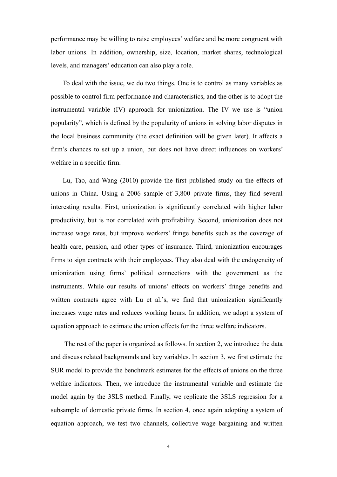performance may be willing to raise employees' welfare and be more congruent with labor unions. In addition, ownership, size, location, market shares, technological levels, and managers' education can also play a role.

To deal with the issue, we do two things. One is to control as many variables as possible to control firm performance and characteristics, and the other is to adopt the instrumental variable (IV) approach for unionization. The IV we use is "union popularity", which is defined by the popularity of unions in solving labor disputes in the local business community (the exact definition will be given later). It affects a firm's chances to set up a union, but does not have direct influences on workers' welfare in a specific firm.

Lu, Tao, and Wang (2010) provide the first published study on the effects of unions in China. Using a 2006 sample of 3,800 private firms, they find several interesting results. First, unionization is significantly correlated with higher labor productivity, but is not correlated with profitability. Second, unionization does not increase wage rates, but improve workers' fringe benefits such as the coverage of health care, pension, and other types of insurance. Third, unionization encourages firms to sign contracts with their employees. They also deal with the endogeneity of unionization using firms' political connections with the government as the instruments. While our results of unions' effects on workers' fringe benefits and written contracts agree with Lu et al.'s, we find that unionization significantly increases wage rates and reduces working hours. In addition, we adopt a system of equation approach to estimate the union effects for the three welfare indicators.

The rest of the paper is organized as follows. In section 2, we introduce the data and discuss related backgrounds and key variables. In section 3, we first estimate the SUR model to provide the benchmark estimates for the effects of unions on the three welfare indicators. Then, we introduce the instrumental variable and estimate the model again by the 3SLS method. Finally, we replicate the 3SLS regression for a subsample of domestic private firms. In section 4, once again adopting a system of equation approach, we test two channels, collective wage bargaining and written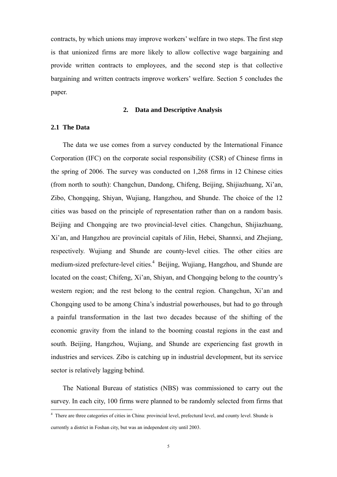contracts, by which unions may improve workers' welfare in two steps. The first step is that unionized firms are more likely to allow collective wage bargaining and provide written contracts to employees, and the second step is that collective bargaining and written contracts improve workers' welfare. Section 5 concludes the paper.

### **2. Data and Descriptive Analysis**

### **2.1 The Data**

The data we use comes from a survey conducted by the International Finance Corporation (IFC) on the corporate social responsibility (CSR) of Chinese firms in the spring of 2006. The survey was conducted on 1,268 firms in 12 Chinese cities (from north to south): Changchun, Dandong, Chifeng, Beijing, Shijiazhuang, Xi'an, Zibo, Chongqing, Shiyan, Wujiang, Hangzhou, and Shunde. The choice of the 12 cities was based on the principle of representation rather than on a random basis. Beijing and Chongqing are two provincial-level cities. Changchun, Shijiazhuang, Xi'an, and Hangzhou are provincial capitals of Jilin, Hebei, Shannxi, and Zhejiang, respectively. Wujiang and Shunde are county-level cities. The other cities are medium-sized prefecture-level cities.<sup>4</sup> Beijing, Wujiang, Hangzhou, and Shunde are located on the coast; Chifeng, Xi'an, Shiyan, and Chongqing belong to the country's western region; and the rest belong to the central region. Changchun, Xi'an and Chongqing used to be among China's industrial powerhouses, but had to go through a painful transformation in the last two decades because of the shifting of the economic gravity from the inland to the booming coastal regions in the east and south. Beijing, Hangzhou, Wujiang, and Shunde are experiencing fast growth in industries and services. Zibo is catching up in industrial development, but its service sector is relatively lagging behind.

The National Bureau of statistics (NBS) was commissioned to carry out the survey. In each city, 100 firms were planned to be randomly selected from firms that

 4 There are three categories of cities in China: provincial level, prefectural level, and county level. Shunde is currently a district in Foshan city, but was an independent city until 2003.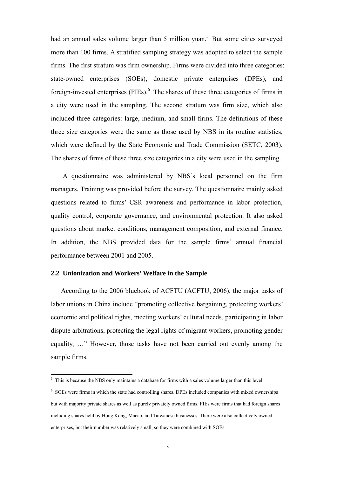had an annual sales volume larger than 5 million yuan.<sup>5</sup> But some cities surveyed more than 100 firms. A stratified sampling strategy was adopted to select the sample firms. The first stratum was firm ownership. Firms were divided into three categories: state-owned enterprises (SOEs), domestic private enterprises (DPEs), and foreign-invested enterprises (FIEs).<sup>6</sup> The shares of these three categories of firms in a city were used in the sampling. The second stratum was firm size, which also included three categories: large, medium, and small firms. The definitions of these three size categories were the same as those used by NBS in its routine statistics, which were defined by the State Economic and Trade Commission (SETC, 2003). The shares of firms of these three size categories in a city were used in the sampling.

A questionnaire was administered by NBS's local personnel on the firm managers. Training was provided before the survey. The questionnaire mainly asked questions related to firms' CSR awareness and performance in labor protection, quality control, corporate governance, and environmental protection. It also asked questions about market conditions, management composition, and external finance. In addition, the NBS provided data for the sample firms' annual financial performance between 2001 and 2005.

#### **2.2 Unionization and Workers' Welfare in the Sample**

According to the 2006 bluebook of ACFTU (ACFTU, 2006), the major tasks of labor unions in China include "promoting collective bargaining, protecting workers' economic and political rights, meeting workers' cultural needs, participating in labor dispute arbitrations, protecting the legal rights of migrant workers, promoting gender equality, …" However, those tasks have not been carried out evenly among the sample firms.

<sup>&</sup>lt;sup>5</sup> This is because the NBS only maintains a database for firms with a sales volume larger than this level.

<sup>&</sup>lt;sup>6</sup> SOEs were firms in which the state had controlling shares. DPEs included companies with mixed ownerships but with majority private shares as well as purely privately owned firms. FIEs were firms that had foreign shares including shares held by Hong Kong, Macao, and Taiwanese businesses. There were also collectively owned enterprises, but their number was relatively small, so they were combined with SOEs.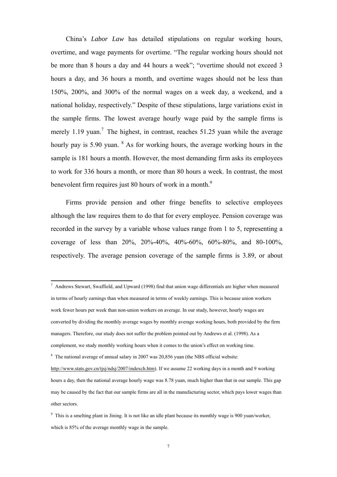China's *Labor Law* has detailed stipulations on regular working hours, overtime, and wage payments for overtime. "The regular working hours should not be more than 8 hours a day and 44 hours a week"; "overtime should not exceed 3 hours a day, and 36 hours a month, and overtime wages should not be less than 150%, 200%, and 300% of the normal wages on a week day, a weekend, and a national holiday, respectively." Despite of these stipulations, large variations exist in the sample firms. The lowest average hourly wage paid by the sample firms is merely 1.19 yuan.<sup>7</sup> The highest, in contrast, reaches 51.25 yuan while the average hourly pay is 5.90 yuan. <sup>8</sup> As for working hours, the average working hours in the sample is 181 hours a month. However, the most demanding firm asks its employees to work for 336 hours a month, or more than 80 hours a week. In contrast, the most benevolent firm requires just 80 hours of work in a month.<sup>9</sup>

Firms provide pension and other fringe benefits to selective employees although the law requires them to do that for every employee. Pension coverage was recorded in the survey by a variable whose values range from 1 to 5, representing a coverage of less than 20%, 20%-40%, 40%-60%, 60%-80%, and 80-100%, respectively. The average pension coverage of the sample firms is 3.89, or about

 7 Andrews Stewart, Swaffield, and Upward (1998) find that union wage differentials are higher when measured in terms of hourly earnings than when measured in terms of weekly earnings. This is because union workers work fewer hours per week than non-union workers on average. In our study, however, hourly wages are converted by dividing the monthly average wages by monthly average working hours, both provided by the firm managers. Therefore, our study does not suffer the problem pointed out by Andrews et al. (1998). As a complement, we study monthly working hours when it comes to the union's effect on working time.  $8$  The national average of annual salary in 2007 was 20,856 yuan (the NBS official website: http://www.stats.gov.cn/tjsj/ndsj/2007/indexch.htm). If we assume 22 working days in a month and 9 working

hours a day, then the national average hourly wage was 8.78 yuan, much higher than that in our sample. This gap may be caused by the fact that our sample firms are all in the manufacturing sector, which pays lower wages than other sectors.

<sup>&</sup>lt;sup>9</sup> This is a smelting plant in Jining. It is not like an idle plant because its monthly wage is 900 yuan/worker, which is  $85\%$  of the average monthly wage in the sample.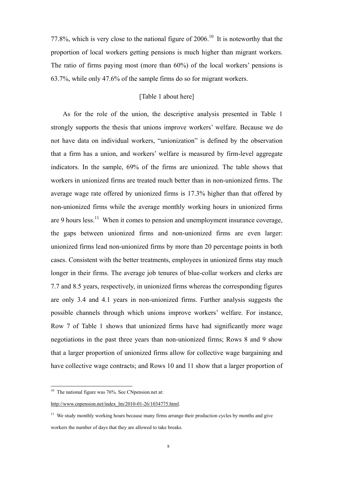77.8%, which is very close to the national figure of  $2006$ .<sup>10</sup> It is noteworthy that the proportion of local workers getting pensions is much higher than migrant workers. The ratio of firms paying most (more than 60%) of the local workers' pensions is 63.7%, while only 47.6% of the sample firms do so for migrant workers.

## [Table 1 about here]

As for the role of the union, the descriptive analysis presented in Table 1 strongly supports the thesis that unions improve workers' welfare. Because we do not have data on individual workers, "unionization" is defined by the observation that a firm has a union, and workers' welfare is measured by firm-level aggregate indicators. In the sample, 69% of the firms are unionized. The table shows that workers in unionized firms are treated much better than in non-unionized firms. The average wage rate offered by unionized firms is 17.3% higher than that offered by non-unionized firms while the average monthly working hours in unionized firms are 9 hours less.<sup>11</sup> When it comes to pension and unemployment insurance coverage, the gaps between unionized firms and non-unionized firms are even larger: unionized firms lead non-unionized firms by more than 20 percentage points in both cases. Consistent with the better treatments, employees in unionized firms stay much longer in their firms. The average job tenures of blue-collar workers and clerks are 7.7 and 8.5 years, respectively, in unionized firms whereas the corresponding figures are only 3.4 and 4.1 years in non-unionized firms. Further analysis suggests the possible channels through which unions improve workers' welfare. For instance, Row 7 of Table 1 shows that unionized firms have had significantly more wage negotiations in the past three years than non-unionized firms; Rows 8 and 9 show that a larger proportion of unionized firms allow for collective wage bargaining and have collective wage contracts; and Rows 10 and 11 show that a larger proportion of

 $10$  The national figure was 76%. See CNpension.net at:

http://www.cnpension.net/index\_lm/2010-01-26/1034775.html.

<sup>&</sup>lt;sup>11</sup> We study monthly working hours because many firms arrange their production cycles by months and give workers the number of days that they are allowed to take breaks.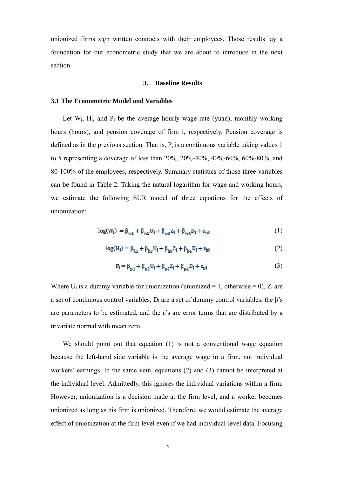unionized firms sign written contracts with their employees. Those results lay a foundation for our econometric study that we are about to introduce in the next section.

#### **3. Baseline Results**

#### **3.1 The Econometric Model and Variables**

Let  $W_i$ ,  $H_i$ , and  $P_i$  be the average hourly wage rate (yuan), monthly working hours (hours), and pension coverage of firm i, respectively. Pension coverage is defined as in the previous section. That is,  $P_i$  is a continuous variable taking values 1 to 5 representing a coverage of less than 20%, 20%-40%, 40%-60%, 60%-80%, and 80-100% of the employees, respectively. Summary statistics of those three variables can be found in Table 2. Taking the natural logarithm for wage and working hours, we estimate the following SUR model of three equations for the effects of unionization:

$$
log(W_1) = \beta_{w1} + \beta_{w2}U_1 + \beta_{w3}Z_1 + \beta_{w4}D_1 + \varepsilon_{wd}
$$
 (1)

$$
log(H_1) = \beta_{h1} + \beta_{h2}U_1 + \beta_{h3}Z_1 + \beta_{h4}D_1 + \varepsilon_{hl}
$$
 (2)

$$
P_{l} = \beta_{p1} + \beta_{p2} U_{l} + \beta_{p3} Z_{l} + \beta_{p4} D_{l} + \epsilon_{p1}
$$
 (3)

Where  $U_i$  is a dummy variable for unionization (unionized = 1, otherwise = 0),  $Z_i$  are a set of continuous control variables,  $D_i$  are a set of dummy control variables, the β's are parameters to be estimated, and the  $\varepsilon$ 's are error terms that are distributed by a trivariate normal with mean zero.

We should point out that equation (1) is not a conventional wage equation because the left-hand side variable is the average wage in a firm, not individual workers' earnings. In the same vein, equations (2) and (3) cannot be interpreted at the individual level. Admittedly, this ignores the individual variations within a firm. However, unionization is a decision made at the firm level, and a worker becomes unionized as long as his firm is unionized. Therefore, we would estimate the average effect of unionization at the firm level even if we had individual-level data. Focusing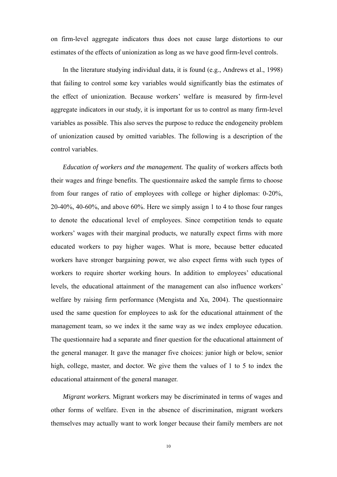on firm-level aggregate indicators thus does not cause large distortions to our estimates of the effects of unionization as long as we have good firm-level controls.

In the literature studying individual data, it is found (e.g., Andrews et al., 1998) that failing to control some key variables would significantly bias the estimates of the effect of unionization. Because workers' welfare is measured by firm-level aggregate indicators in our study, it is important for us to control as many firm-level variables as possible. This also serves the purpose to reduce the endogeneity problem of unionization caused by omitted variables. The following is a description of the control variables.

*Education of workers and the management.* The quality of workers affects both their wages and fringe benefits. The questionnaire asked the sample firms to choose from four ranges of ratio of employees with college or higher diplomas: 0-20%, 20-40%, 40-60%, and above 60%. Here we simply assign 1 to 4 to those four ranges to denote the educational level of employees. Since competition tends to equate workers' wages with their marginal products, we naturally expect firms with more educated workers to pay higher wages. What is more, because better educated workers have stronger bargaining power, we also expect firms with such types of workers to require shorter working hours. In addition to employees' educational levels, the educational attainment of the management can also influence workers' welfare by raising firm performance (Mengista and Xu, 2004). The questionnaire used the same question for employees to ask for the educational attainment of the management team, so we index it the same way as we index employee education. The questionnaire had a separate and finer question for the educational attainment of the general manager. It gave the manager five choices: junior high or below, senior high, college, master, and doctor. We give them the values of 1 to 5 to index the educational attainment of the general manager.

*Migrant workers.* Migrant workers may be discriminated in terms of wages and other forms of welfare. Even in the absence of discrimination, migrant workers themselves may actually want to work longer because their family members are not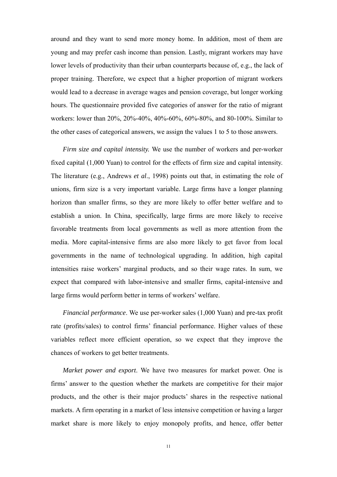around and they want to send more money home. In addition, most of them are young and may prefer cash income than pension. Lastly, migrant workers may have lower levels of productivity than their urban counterparts because of, e.g., the lack of proper training. Therefore, we expect that a higher proportion of migrant workers would lead to a decrease in average wages and pension coverage, but longer working hours. The questionnaire provided five categories of answer for the ratio of migrant workers: lower than 20%, 20%-40%, 40%-60%, 60%-80%, and 80-100%. Similar to the other cases of categorical answers, we assign the values 1 to 5 to those answers.

*Firm size and capital intensity.* We use the number of workers and per-worker fixed capital (1,000 Yuan) to control for the effects of firm size and capital intensity. The literature (e.g., Andrews *et al*., 1998) points out that, in estimating the role of unions, firm size is a very important variable. Large firms have a longer planning horizon than smaller firms, so they are more likely to offer better welfare and to establish a union. In China, specifically, large firms are more likely to receive favorable treatments from local governments as well as more attention from the media. More capital-intensive firms are also more likely to get favor from local governments in the name of technological upgrading. In addition, high capital intensities raise workers' marginal products, and so their wage rates. In sum, we expect that compared with labor-intensive and smaller firms, capital-intensive and large firms would perform better in terms of workers' welfare.

*Financial performance*. We use per-worker sales (1,000 Yuan) and pre-tax profit rate (profits/sales) to control firms' financial performance. Higher values of these variables reflect more efficient operation, so we expect that they improve the chances of workers to get better treatments.

*Market power and export*. We have two measures for market power. One is firms' answer to the question whether the markets are competitive for their major products, and the other is their major products' shares in the respective national markets. A firm operating in a market of less intensive competition or having a larger market share is more likely to enjoy monopoly profits, and hence, offer better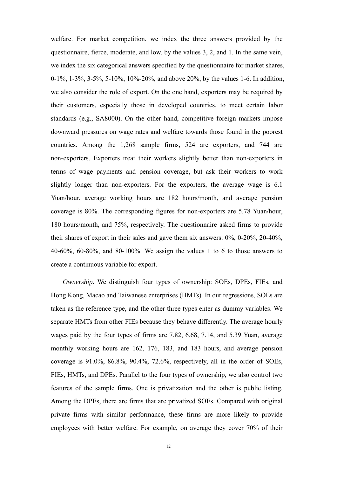welfare. For market competition, we index the three answers provided by the questionnaire, fierce, moderate, and low, by the values 3, 2, and 1. In the same vein, we index the six categorical answers specified by the questionnaire for market shares, 0-1%, 1-3%, 3-5%, 5-10%, 10%-20%, and above 20%, by the values 1-6. In addition, we also consider the role of export. On the one hand, exporters may be required by their customers, especially those in developed countries, to meet certain labor standards (e.g., SA8000). On the other hand, competitive foreign markets impose downward pressures on wage rates and welfare towards those found in the poorest countries. Among the 1,268 sample firms, 524 are exporters, and 744 are non-exporters. Exporters treat their workers slightly better than non-exporters in terms of wage payments and pension coverage, but ask their workers to work slightly longer than non-exporters. For the exporters, the average wage is 6.1 Yuan/hour, average working hours are 182 hours/month, and average pension coverage is 80%. The corresponding figures for non-exporters are 5.78 Yuan/hour, 180 hours/month, and 75%, respectively. The questionnaire asked firms to provide their shares of export in their sales and gave them six answers: 0%, 0-20%, 20-40%, 40-60%, 60-80%, and 80-100%. We assign the values 1 to 6 to those answers to create a continuous variable for export.

*Ownership.* We distinguish four types of ownership: SOEs, DPEs, FIEs, and Hong Kong, Macao and Taiwanese enterprises (HMTs). In our regressions, SOEs are taken as the reference type, and the other three types enter as dummy variables. We separate HMTs from other FIEs because they behave differently. The average hourly wages paid by the four types of firms are 7.82, 6.68, 7.14, and 5.39 Yuan, average monthly working hours are 162, 176, 183, and 183 hours, and average pension coverage is 91.0%, 86.8%, 90.4%, 72.6%, respectively, all in the order of SOEs, FIEs, HMTs, and DPEs. Parallel to the four types of ownership, we also control two features of the sample firms. One is privatization and the other is public listing. Among the DPEs, there are firms that are privatized SOEs. Compared with original private firms with similar performance, these firms are more likely to provide employees with better welfare. For example, on average they cover 70% of their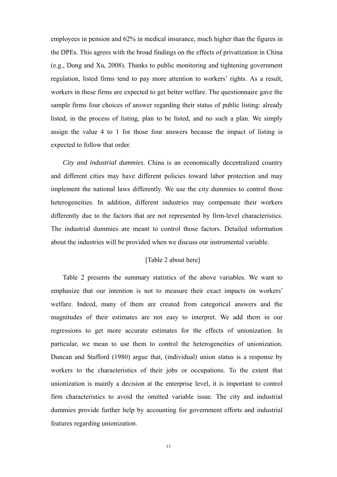employees in pension and 62% in medical insurance, much higher than the figures in the DPEs. This agrees with the broad findings on the effects of privatization in China (e.g., Dong and Xu, 2008). Thanks to public monitoring and tightening government regulation, listed firms tend to pay more attention to workers' rights. As a result, workers in these firms are expected to get better welfare. The questionnaire gave the sample firms four choices of answer regarding their status of public listing: already listed, in the process of listing, plan to be listed, and no such a plan. We simply assign the value 4 to 1 for those four answers because the impact of listing is expected to follow that order.

*City and industrial dummies*. China is an economically decentralized country and different cities may have different policies toward labor protection and may implement the national laws differently. We use the city dummies to control those heterogeneities. In addition, different industries may compensate their workers differently due to the factors that are not represented by firm-level characteristics. The industrial dummies are meant to control those factors. Detailed information about the industries will be provided when we discuss our instrumental variable.

## [Table 2 about here]

Table 2 presents the summary statistics of the above variables. We want to emphasize that our intention is not to measure their exact impacts on workers' welfare. Indeed, many of them are created from categorical answers and the magnitudes of their estimates are not easy to interpret. We add them in our regressions to get more accurate estimates for the effects of unionization. In particular, we mean to use them to control the heterogeneities of unionization. Duncan and Stafford (1980) argue that, (individual) union status is a response by workers to the characteristics of their jobs or occupations. To the extent that unionization is mainly a decision at the enterprise level, it is important to control firm characteristics to avoid the omitted variable issue. The city and industrial dummies provide further help by accounting for government efforts and industrial features regarding unionization.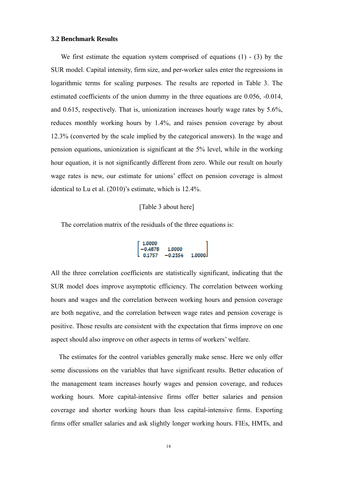#### **3.2 Benchmark Results**

We first estimate the equation system comprised of equations  $(1)$  -  $(3)$  by the SUR model. Capital intensity, firm size, and per-worker sales enter the regressions in logarithmic terms for scaling purposes. The results are reported in Table 3. The estimated coefficients of the union dummy in the three equations are 0.056, -0.014, and 0.615, respectively. That is, unionization increases hourly wage rates by 5.6%, reduces monthly working hours by 1.4%, and raises pension coverage by about 12.3% (converted by the scale implied by the categorical answers). In the wage and pension equations, unionization is significant at the 5% level, while in the working hour equation, it is not significantly different from zero. While our result on hourly wage rates is new, our estimate for unions' effect on pension coverage is almost identical to Lu et al. (2010)'s estimate, which is 12.4%.

#### [Table 3 about here]

The correlation matrix of the residuals of the three equations is:

$$
\begin{bmatrix} 1.0000 \\ -0.4678 & 1.0000 \\ 0.1757 & -0.2354 & 1.0000 \end{bmatrix}
$$

All the three correlation coefficients are statistically significant, indicating that the SUR model does improve asymptotic efficiency. The correlation between working hours and wages and the correlation between working hours and pension coverage are both negative, and the correlation between wage rates and pension coverage is positive. Those results are consistent with the expectation that firms improve on one aspect should also improve on other aspects in terms of workers' welfare.

The estimates for the control variables generally make sense. Here we only offer some discussions on the variables that have significant results. Better education of the management team increases hourly wages and pension coverage, and reduces working hours. More capital-intensive firms offer better salaries and pension coverage and shorter working hours than less capital-intensive firms. Exporting firms offer smaller salaries and ask slightly longer working hours. FIEs, HMTs, and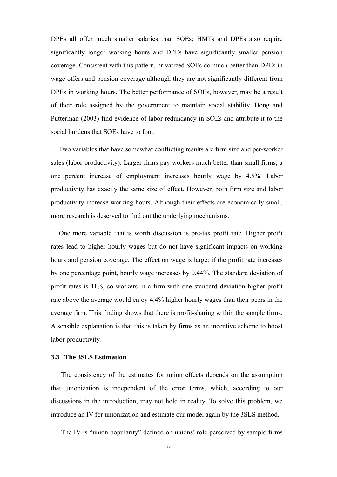DPEs all offer much smaller salaries than SOEs; HMTs and DPEs also require significantly longer working hours and DPEs have significantly smaller pension coverage. Consistent with this pattern, privatized SOEs do much better than DPEs in wage offers and pension coverage although they are not significantly different from DPEs in working hours. The better performance of SOEs, however, may be a result of their role assigned by the government to maintain social stability. Dong and Putterman (2003) find evidence of labor redundancy in SOEs and attribute it to the social burdens that SOEs have to foot.

Two variables that have somewhat conflicting results are firm size and per-worker sales (labor productivity). Larger firms pay workers much better than small firms; a one percent increase of employment increases hourly wage by 4.5%. Labor productivity has exactly the same size of effect. However, both firm size and labor productivity increase working hours. Although their effects are economically small, more research is deserved to find out the underlying mechanisms.

One more variable that is worth discussion is pre-tax profit rate. Higher profit rates lead to higher hourly wages but do not have significant impacts on working hours and pension coverage. The effect on wage is large: if the profit rate increases by one percentage point, hourly wage increases by 0.44%. The standard deviation of profit rates is 11%, so workers in a firm with one standard deviation higher profit rate above the average would enjoy 4.4% higher hourly wages than their peers in the average firm. This finding shows that there is profit-sharing within the sample firms. A sensible explanation is that this is taken by firms as an incentive scheme to boost labor productivity.

### **3.3 The 3SLS Estimation**

The consistency of the estimates for union effects depends on the assumption that unionization is independent of the error terms, which, according to our discussions in the introduction, may not hold in reality. To solve this problem, we introduce an IV for unionization and estimate our model again by the 3SLS method.

The IV is "union popularity" defined on unions' role perceived by sample firms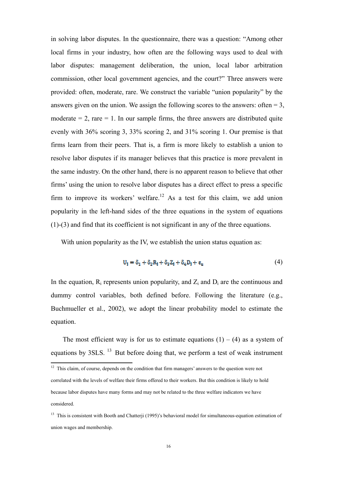in solving labor disputes. In the questionnaire, there was a question: "Among other local firms in your industry, how often are the following ways used to deal with labor disputes: management deliberation, the union, local labor arbitration commission, other local government agencies, and the court?" Three answers were provided: often, moderate, rare. We construct the variable "union popularity" by the answers given on the union. We assign the following scores to the answers: often  $= 3$ , moderate  $= 2$ , rare  $= 1$ . In our sample firms, the three answers are distributed quite evenly with 36% scoring 3, 33% scoring 2, and 31% scoring 1. Our premise is that firms learn from their peers. That is, a firm is more likely to establish a union to resolve labor disputes if its manager believes that this practice is more prevalent in the same industry. On the other hand, there is no apparent reason to believe that other firms' using the union to resolve labor disputes has a direct effect to press a specific firm to improve its workers' welfare.<sup>12</sup> As a test for this claim, we add union popularity in the left-hand sides of the three equations in the system of equations (1)-(3) and find that its coefficient is not significant in any of the three equations.

With union popularity as the IV, we establish the union status equation as:

$$
U_{j} = \delta_{1} + \delta_{2}R_{j} + \delta_{3}Z_{j} + \delta_{4}D_{j} + \varepsilon_{u}
$$
\n
$$
\tag{4}
$$

In the equation,  $R_i$  represents union popularity, and  $Z_i$  and  $D_i$  are the continuous and dummy control variables, both defined before. Following the literature (e.g., Buchmueller et al., 2002), we adopt the linear probability model to estimate the equation.

The most efficient way is for us to estimate equations  $(1) - (4)$  as a system of equations by 3SLS. 13 But before doing that, we perform a test of weak instrument

 $12$  This claim, of course, depends on the condition that firm managers' answers to the question were not correlated with the levels of welfare their firms offered to their workers. But this condition is likely to hold because labor disputes have many forms and may not be related to the three welfare indicators we have considered.

<sup>&</sup>lt;sup>13</sup> This is consistent with Booth and Chatterji (1995)'s behavioral model for simultaneous-equation estimation of union wages and membership.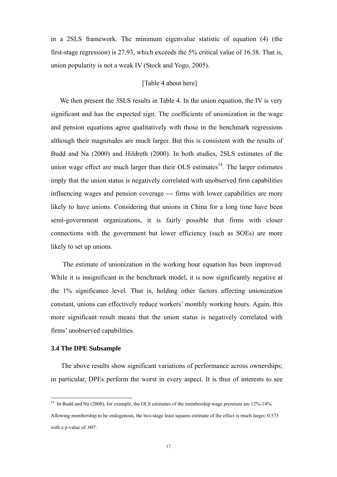in a 2SLS framework. The minimum eigenvalue statistic of equation (4) (the first-stage regression) is 27.93, which exceeds the 5% critical value of 16.38. That is, union popularity is not a weak IV (Stock and Yogo, 2005).

#### [Table 4 about here]

We then present the 3SLS results in Table 4. In the union equation, the IV is very significant and has the expected sign. The coefficients of unionization in the wage and pension equations agree qualitatively with those in the benchmark regressions although their magnitudes are much larger. But this is consistent with the results of Budd and Na (2000) and Hildreth (2000). In both studies, 2SLS estimates of the union wage effect are much larger than their OLS estimates $14$ . The larger estimates imply that the union status is negatively correlated with unobserved firm capabilities influencing wages and pension coverage --- firms with lower capabilities are more likely to have unions. Considering that unions in China for a long time have been semi-government organizations, it is fairly possible that firms with closer connections with the government but lower efficiency (such as SOEs) are more likely to set up unions.

The estimate of unionization in the working hour equation has been improved. While it is insignificant in the benchmark model, it is now significantly negative at the 1% significance level. That is, holding other factors affecting unionization constant, unions can effectively reduce workers' monthly working hours. Again, this more significant result means that the union status is negatively correlated with firms' unobserved capabilities.

#### **3.4 The DPE Subsample**

The above results show significant variations of performance across ownerships; in particular, DPEs perform the worst in every aspect. It is thus of interests to see

<sup>&</sup>lt;sup>14</sup> In Budd and Na (2000), for example, the OLS estimates of the membership wage premium are 12%-14%.

Allowing membership to be endogenous, the two-stage least squares estimate of the effect is much larger, 0.573 with a p-value of .007.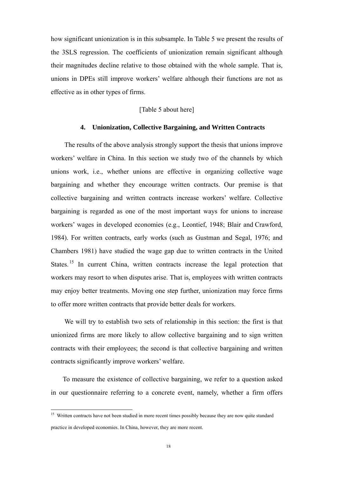how significant unionization is in this subsample. In Table 5 we present the results of the 3SLS regression. The coefficients of unionization remain significant although their magnitudes decline relative to those obtained with the whole sample. That is, unions in DPEs still improve workers' welfare although their functions are not as effective as in other types of firms.

## [Table 5 about here]

### **4. Unionization, Collective Bargaining, and Written Contracts**

The results of the above analysis strongly support the thesis that unions improve workers' welfare in China. In this section we study two of the channels by which unions work, i.e., whether unions are effective in organizing collective wage bargaining and whether they encourage written contracts. Our premise is that collective bargaining and written contracts increase workers' welfare. Collective bargaining is regarded as one of the most important ways for unions to increase workers' wages in developed economies (e.g., Leontief, 1948; Blair and Crawford, 1984). For written contracts, early works (such as Gustman and Segal, 1976; and Chambers 1981) have studied the wage gap due to written contracts in the United States.<sup>15</sup> In current China, written contracts increase the legal protection that workers may resort to when disputes arise. That is, employees with written contracts may enjoy better treatments. Moving one step further, unionization may force firms to offer more written contracts that provide better deals for workers.

We will try to establish two sets of relationship in this section: the first is that unionized firms are more likely to allow collective bargaining and to sign written contracts with their employees; the second is that collective bargaining and written contracts significantly improve workers' welfare.

To measure the existence of collective bargaining, we refer to a question asked in our questionnaire referring to a concrete event, namely, whether a firm offers

<sup>&</sup>lt;sup>15</sup> Written contracts have not been studied in more recent times possibly because they are now quite standard practice in developed economies. In China, however, they are more recent.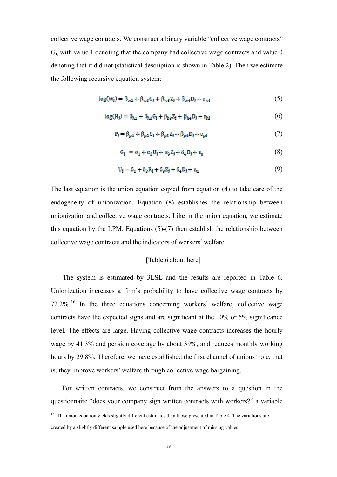collective wage contracts. We construct a binary variable "collective wage contracts" Gi, with value 1 denoting that the company had collective wage contracts and value 0 denoting that it did not (statistical description is shown in Table 2). Then we estimate the following recursive equation system:

$$
log(Wj) = \betaw1 + \betaw2Gj + \betaw2Zj + \betaw4Dj + \varepsilonw1
$$
 (5)

$$
log(Hi) = \beta_{h1} + \beta_{h2}Gi + \beta_{h3}Zi + \beta_{h4}Di + \varepsilon_{hl}
$$
 (6)

$$
P_{l} = \beta_{p1} + \beta_{p2}G_{l} + \beta_{p3}Z_{l} + \beta_{p4}D_{l} + \epsilon_{pd} \tag{7}
$$

$$
G_1 = \alpha_1 + \alpha_2 U_1 + \alpha_3 Z_1 + \delta_4 D_1 + \varepsilon_u \tag{8}
$$

$$
U_{\mathbf{i}} = \delta_1 + \delta_2 R_{\mathbf{i}} + \delta_3 Z_{\mathbf{i}} + \delta_4 D_{\mathbf{i}} + \varepsilon_{\mathbf{u}} \tag{9}
$$

The last equation is the union equation copied from equation (4) to take care of the endogeneity of unionization. Equation (8) establishes the relationship between unionization and collective wage contracts. Like in the union equation, we estimate this equation by the LPM. Equations (5)-(7) then establish the relationship between collective wage contracts and the indicators of workers' welfare.

## [Table 6 about here]

 The system is estimated by 3LSL and the results are reported in Table 6. Unionization increases a firm's probability to have collective wage contracts by 72.2%. 16 In the three equations concerning workers' welfare, collective wage contracts have the expected signs and are significant at the 10% or 5% significance level. The effects are large. Having collective wage contracts increases the hourly wage by 41.3% and pension coverage by about 39%, and reduces monthly working hours by 29.8%. Therefore, we have established the first channel of unions' role, that is, they improve workers' welfare through collective wage bargaining.

For written contracts, we construct from the answers to a question in the questionnaire "does your company sign written contracts with workers?" a variable

<sup>&</sup>lt;sup>16</sup> The union equation yields slightly different estimates than those presented in Table 4. The variations are created by a slightly different sample used here because of the adjustment of missing values.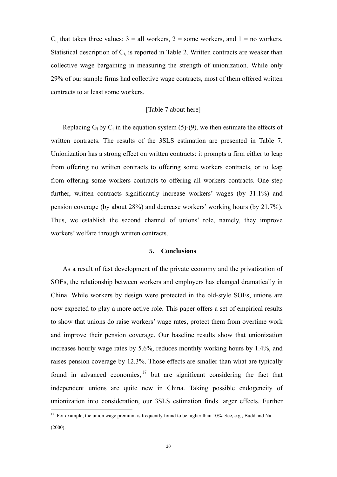$C_i$  that takes three values:  $3 =$  all workers,  $2 =$  some workers, and  $1 =$  no workers. Statistical description of  $C_i$  is reported in Table 2. Written contracts are weaker than collective wage bargaining in measuring the strength of unionization. While only 29% of our sample firms had collective wage contracts, most of them offered written contracts to at least some workers.

#### [Table 7 about here]

Replacing  $G_i$  by  $C_i$  in the equation system (5)-(9), we then estimate the effects of written contracts. The results of the 3SLS estimation are presented in Table 7. Unionization has a strong effect on written contracts: it prompts a firm either to leap from offering no written contracts to offering some workers contracts, or to leap from offering some workers contracts to offering all workers contracts. One step further, written contracts significantly increase workers' wages (by 31.1%) and pension coverage (by about 28%) and decrease workers' working hours (by 21.7%). Thus, we establish the second channel of unions' role, namely, they improve workers' welfare through written contracts.

### **5. Conclusions**

As a result of fast development of the private economy and the privatization of SOEs, the relationship between workers and employers has changed dramatically in China. While workers by design were protected in the old-style SOEs, unions are now expected to play a more active role. This paper offers a set of empirical results to show that unions do raise workers' wage rates, protect them from overtime work and improve their pension coverage. Our baseline results show that unionization increases hourly wage rates by 5.6%, reduces monthly working hours by 1.4%, and raises pension coverage by 12.3%. Those effects are smaller than what are typically found in advanced economies,  $17$  but are significant considering the fact that independent unions are quite new in China. Taking possible endogeneity of unionization into consideration, our 3SLS estimation finds larger effects. Further 

<sup>&</sup>lt;sup>17</sup> For example, the union wage premium is frequently found to be higher than 10%. See, e.g., Budd and Na (2000).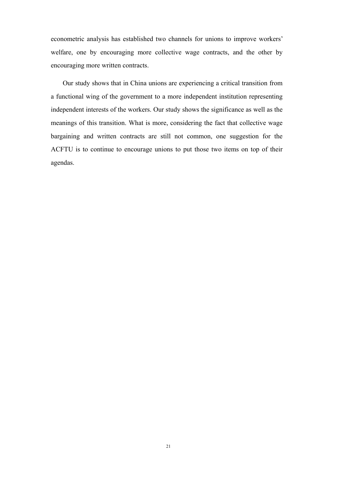econometric analysis has established two channels for unions to improve workers' welfare, one by encouraging more collective wage contracts, and the other by encouraging more written contracts.

Our study shows that in China unions are experiencing a critical transition from a functional wing of the government to a more independent institution representing independent interests of the workers. Our study shows the significance as well as the meanings of this transition. What is more, considering the fact that collective wage bargaining and written contracts are still not common, one suggestion for the ACFTU is to continue to encourage unions to put those two items on top of their agendas.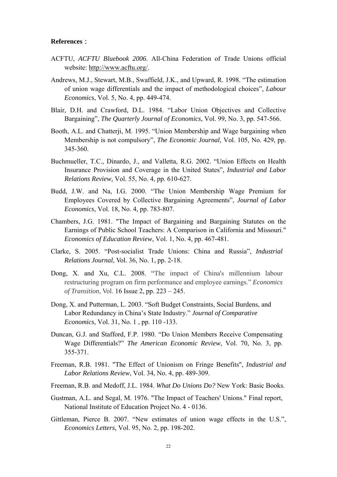#### **References**:

- ACFTU, *ACFTU Bluebook 2006*. All-China Federation of Trade Unions official website: http://www.acftu.org/.
- Andrews, M.J., Stewart, M.B., Swaffield, J.K., and Upward, R. 1998. "The estimation of union wage differentials and the impact of methodological choices", *Labour Economics*, Vol. 5, No. 4, pp. 449-474.
- Blair, D.H. and Crawford, D.L. 1984. "Labor Union Objectives and Collective Bargaining", *The Quarterly Journal of Economics*, Vol. 99, No. 3, pp. 547-566.
- Booth, A.L. and Chatterji, M. 1995. "Union Membership and Wage bargaining when Membership is not compulsory", *The Economic Journal*, Vol. 105, No. 429, pp. 345-360.
- Buchmueller, T.C., Dinardo, J., and Valletta, R.G. 2002. "Union Effects on Health Insurance Provision and Coverage in the United States", *Industrial and Labor Relations Review,* Vol. 55, No. 4, pp. 610-627.
- Budd, J.W. and Na, I.G. 2000. "The Union Membership Wage Premium for Employees Covered by Collective Bargaining Agreements", *Journal of Labor Economics*, Vol. 18, No. 4, pp. 783-807.
- Chambers, J.G. 1981. "The Impact of Bargaining and Bargaining Statutes on the Earnings of Public School Teachers: A Comparison in California and Missouri." *Economics of Education Review*, Vol. 1, No. 4, pp. 467-481.
- Clarke, S. 2005. "Post-socialist Trade Unions: China and Russia", *Industrial Relations Journal*, Vol. 36, No. 1, pp. 2-18.
- Dong, X. and Xu, C.L. 2008. "The impact of China's millennium labour restructuring program on firm performance and employee earnings." *Economics of Transition*, Vol. 16 Issue 2, pp. 223 – 245.
- Dong, X. and Putterman, L. 2003. "Soft Budget Constraints, Social Burdens, and Labor Redundancy in China's State Industry." *Journal of Comparative Economics*, Vol. 31, No. 1 , pp. 110 -133.
- Duncan, G.J. and Stafford, F.P. 1980. "Do Union Members Receive Compensating Wage Differentials?" *The American Economic Review*, Vol. 70, No. 3, pp. 355-371.
- Freeman, R.B. 1981. "The Effect of Unionism on Fringe Benefits", *Industrial and Labor Relations Review*, Vol. 34, No. 4, pp. 489-309.
- Freeman, R.B. and Medoff, J.L. 1984. *What Do Unions Do?* New York: Basic Books.
- Gustman, A.L. and Segal, M. 1976. "The Impact of Teachers' Unions." Final report, National Institute of Education Project No. 4 - 0136.
- Gittleman, Pierce B. 2007. "New estimates of union wage effects in the U.S.", *Economics Letters*, Vol. 95, No. 2, pp. 198-202.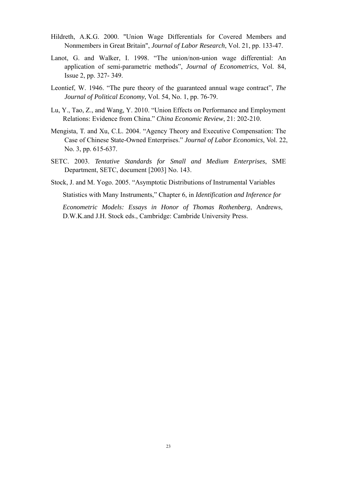- Hildreth, A.K.G. 2000. "Union Wage Differentials for Covered Members and Nonmembers in Great Britain", *Journal of Labor Research*, Vol. 21, pp. 133-47.
- Lanot, G. and Walker, I. 1998. "The union/non-union wage differential: An application of semi-parametric methods", *Journal of Econometrics*, Vol. 84, Issue 2, pp. 327- 349.
- Leontief, W. 1946. "The pure theory of the guaranteed annual wage contract", *The Journal of Political Economy*, Vol. 54, No. 1, pp. 76-79.
- Lu, Y., Tao, Z., and Wang, Y. 2010. "Union Effects on Performance and Employment Relations: Evidence from China." *China Economic Review*, 21: 202-210.
- Mengista, T. and Xu, C.L. 2004. "Agency Theory and Executive Compensation: The Case of Chinese State-Owned Enterprises." *Journal of Labor Economics*, Vol. 22, No. 3, pp. 615-637.
- SETC. 2003. *Tentative Standards for Small and Medium Enterprises*, SME Department, SETC, document [2003] No. 143.
- Stock, J. and M. Yogo. 2005. "Asymptotic Distributions of Instrumental Variables Statistics with Many Instruments," Chapter 6, in *Identification and Inference for Econometric Models: Essays in Honor of Thomas Rothenberg*, Andrews,

D.W.K.and J.H. Stock eds., Cambridge: Cambride University Press.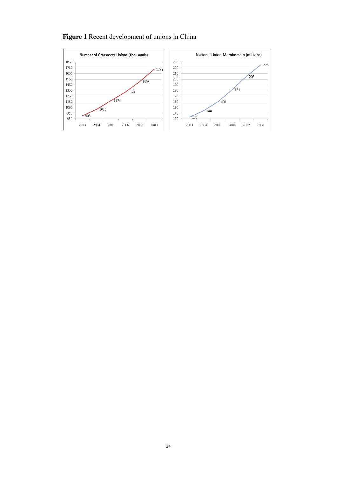# **Figure 1** Recent development of unions in China

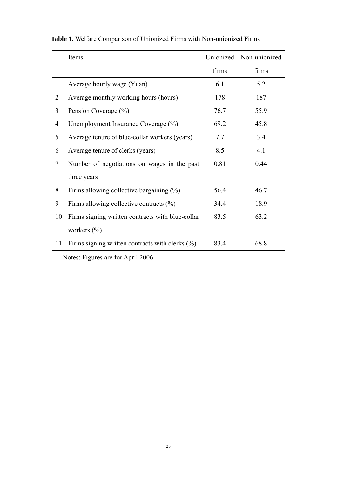|              | Items                                              |       | Unionized Non-unionized |
|--------------|----------------------------------------------------|-------|-------------------------|
|              |                                                    | firms | firms                   |
| $\mathbf{1}$ | Average hourly wage (Yuan)                         | 6.1   | 5.2                     |
| 2            | Average monthly working hours (hours)              | 178   | 187                     |
| 3            | Pension Coverage (%)                               | 76.7  | 55.9                    |
| 4            | Unemployment Insurance Coverage (%)                | 69.2  | 45.8                    |
| 5            | Average tenure of blue-collar workers (years)      | 7.7   | 3.4                     |
| 6            | Average tenure of clerks (years)                   | 8.5   | 4.1                     |
| $\tau$       | Number of negotiations on wages in the past        | 0.81  | 0.44                    |
|              | three years                                        |       |                         |
| 8            | Firms allowing collective bargaining $(\%)$        | 56.4  | 46.7                    |
| 9            | Firms allowing collective contracts $(\%)$         | 34.4  | 18.9                    |
| 10           | Firms signing written contracts with blue-collar   | 83.5  | 63.2                    |
|              | workers $(\% )$                                    |       |                         |
| 11           | Firms signing written contracts with clerks $(\%)$ | 83.4  | 68.8                    |

**Table 1.** Welfare Comparison of Unionized Firms with Non-unionized Firms

Notes: Figures are for April 2006.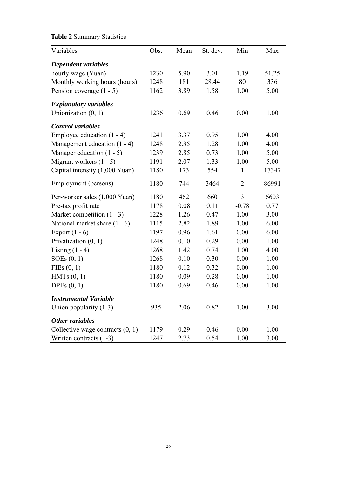# Variables Obs. Mean St. dev. Min Max *Dependent variables*  hourly wage (Yuan) 1230 5.90 3.01 1.19 51.25 Monthly working hours (hours) 1248 181 28.44 80 336 Pension coverage (1 - 5) 1162 3.89 1.58 1.00 5.00 *Explanatory variables*  Unionization (0, 1) 1236 0.69 0.46 0.00 1.00 *Control variables*  Employee education (1 - 4) 1241 3.37 0.95 1.00 4.00 Management education (1 - 4) 1248 2.35 1.28 1.00 4.00 Manager education (1 - 5) 1239 2.85 0.73 1.00 5.00 Migrant workers (1 - 5) 1191 2.07 1.33 1.00 5.00 Capital intensity (1,000 Yuan) 1180 173 554 1 17347 Employment (persons) 1180 744 3464 2 86991 Per-worker sales (1,000 Yuan) 1180 462 660 3 6603 Pre-tax profit rate 1178 0.08 0.11 -0.78 0.77 Market competition (1 - 3) 1228 1.26 0.47 1.00 3.00 National market share (1 - 6) 1115 2.82 1.89 1.00 6.00 Export (1 - 6) 1197 0.96 1.61 0.00 6.00 Privatization (0, 1) 1248 0.10 0.29 0.00 1.00 Listing (1 - 4) 1268 1.42 0.74 1.00 4.00 SOEs (0, 1) 1268 0.10 0.30 0.00 1.00 FIEs (0, 1) 1180 0.12 0.32 0.00 1.00 HMTs (0, 1) 1180 0.09 0.28 0.00 1.00 DPEs (0, 1) 1180 0.69 0.46 0.00 1.00 *Instrumental Variable*  Union popularity (1-3) 935 2.06 0.82 1.00 3.00 *Other variables*  Collective wage contracts (0, 1) 1179 0.29 0.46 0.00 1.00 Written contracts (1-3) 1247 2.73 0.54 1.00 3.00

## **Table 2** Summary Statistics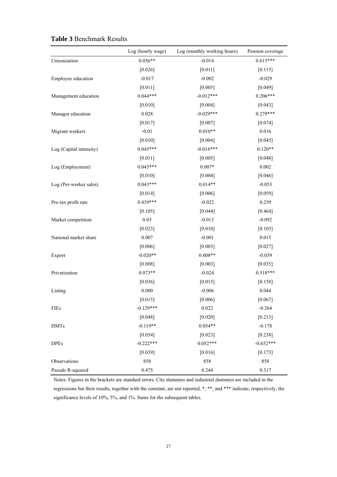|                         | Log (hourly wage) | Log (monthly working hours) | Pension coverage |
|-------------------------|-------------------|-----------------------------|------------------|
| Unionization            | $0.056**$         | $-0.014$                    | $0.615***$       |
|                         | [0.026]           | $[0.011]$                   | [0.115]          |
| Employee education      | $-0.017$          | $-0.002$                    | $-0.029$         |
|                         | $[0.011]$         | [0.005]                     | [0.049]          |
| Management education    | $0.044***$        | $-0.012***$                 | $0.206***$       |
|                         | $[0.010]$         | [0.004]                     | [0.043]          |
| Manager education       | 0.028             | $-0.029***$                 | $0.279***$       |
|                         | [0.017]           | [0.007]                     | [0.074]          |
| Migrant workers         | $-0.01$           | $0.010**$                   | 0.016            |
|                         | [0.010]           | [0.004]                     | [0.045]          |
| Log (Capital intensity) | $0.045***$        | $-0.014***$                 | $0.120**$        |
|                         | [0.011]           | [0.005]                     | [0.048]          |
| Log (Employment)        | $0.043***$        | $0.007*$                    | 0.002            |
|                         | $[0.010]$         | [0.004]                     | [0.046]          |
| Log (Per-worker sales)  | $0.043***$        | $0.014**$                   | $-0.053$         |
|                         | [0.014]           | [0.006]                     | [0.059]          |
| Pre-tax profit rate     | 0.439***          | $-0.022$                    | 0.259            |
|                         | [0.105]           | [0.044]                     | $[0.464]$        |
| Market competition      | 0.03              | $-0.013$                    | $-0.092$         |
|                         | [0.023]           | $[0.010]$                   | [0.103]          |
| National market share   | 0.007             | $-0.001$                    | 0.015            |
|                         | [0.006]           | [0.003]                     | [0.027]          |
| Export                  | $-0.020**$        | $0.008**$                   | $-0.039$         |
|                         | [0.008]           | [0.003]                     | [0.035]          |
| Privatization           | $0.073**$         | $-0.024$                    | $0.518***$       |
|                         | [0.036]           | [0.015]                     | [0.158]          |
| Listing                 | 0.000             | $-0.006$                    | 0.044            |
|                         | [0.015]           | [0.006]                     | [0.067]          |
| FIEs                    | $-0.129***$       | 0.022                       | $-0.264$         |
|                         | [0.048]           | [0.020]                     | [0.213]          |
| <b>HMTs</b>             | $-0.119**$        | $0.054**$                   | $-0.178$         |
|                         | [0.054]           | [0.023]                     | [0.238]          |
| <b>DPEs</b>             | $-0.222***$       | $0.052***$                  | $-0.652***$      |
|                         | [0.039]           | [0.016]                     | [0.173]          |
| Observations            | 858               | 858                         | 858              |
| Pseudo R-squared        | 0.475             | 0.244                       | 0.317            |

### **Table 3** Benchmark Results

Notes: Figures in the brackets are standard errors. City dummies and industrial dummies are included in the regressions but their results, together with the constant, are not reported. \*, \*\*, and \*\*\* indicate, respectively, the significance levels of 10%, 5%, and 1%. Same for the subsequent tables.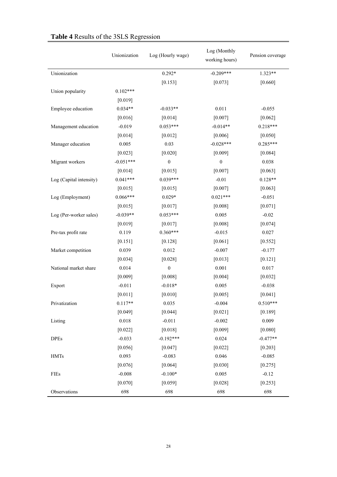|                         | Unionization | Log (Hourly wage) | Log (Monthly<br>working hours) | Pension coverage |
|-------------------------|--------------|-------------------|--------------------------------|------------------|
| Unionization            |              | $0.292*$          | $-0.209***$                    | $1.323**$        |
|                         |              | [0.153]           | [0.073]                        | [0.660]          |
| Union popularity        | $0.102***$   |                   |                                |                  |
|                         | [0.019]      |                   |                                |                  |
| Employee education      | $0.034**$    | $-0.033**$        | 0.011                          | $-0.055$         |
|                         | [0.016]      | [0.014]           | [0.007]                        | $[0.062]$        |
| Management education    | $-0.019$     | $0.053***$        | $-0.014**$                     | $0.218***$       |
|                         | $[0.014]$    | $[0.012]$         | [0.006]                        | $[0.050]$        |
| Manager education       | 0.005        | 0.03              | $-0.028***$                    | $0.285***$       |
|                         | [0.023]      | [0.020]           | [0.009]                        | [0.084]          |
| Migrant workers         | $-0.051***$  | $\boldsymbol{0}$  | $\boldsymbol{0}$               | 0.038            |
|                         | [0.014]      | [0.015]           | [0.007]                        | [0.063]          |
| Log (Capital intensity) | $0.041***$   | $0.039***$        | $-0.01$                        | $0.128**$        |
|                         | [0.015]      | [0.015]           | [0.007]                        | [0.063]          |
| Log (Employment)        | $0.066***$   | $0.029*$          | $0.021***$                     | $-0.051$         |
|                         | [0.015]      | [0.017]           | [0.008]                        | [0.071]          |
| Log (Per-worker sales)  | $-0.039**$   | $0.053***$        | 0.005                          | $-0.02$          |
|                         | [0.019]      | [0.017]           | [0.008]                        | [0.074]          |
| Pre-tax profit rate     | 0.119        | $0.360***$        | $-0.015$                       | 0.027            |
|                         | $[0.151]$    | [0.128]           | [0.061]                        | [0.552]          |
| Market competition      | 0.039        | 0.012             | $-0.007$                       | $-0.177$         |
|                         | [0.034]      | [0.028]           | [0.013]                        | [0.121]          |
| National market share   | 0.014        | $\boldsymbol{0}$  | 0.001                          | 0.017            |
|                         | [0.009]      | [0.008]           | [0.004]                        | [0.032]          |
| Export                  | $-0.011$     | $-0.018*$         | 0.005                          | $-0.038$         |
|                         | $[0.011]$    | $[0.010]$         | [0.005]                        | [0.041]          |
| Privatization           | $0.117**$    | 0.035             | $-0.004$                       | $0.510***$       |
|                         | [0.049]      | [0.044]           | $[0.021]$                      | [0.189]          |
| Listing                 | 0.018        | $-0.011$          | $-0.002$                       | 0.009            |
|                         | [0.022]      | [0.018]           | [0.009]                        | [0.080]          |
| <b>DPEs</b>             | $-0.033$     | $-0.192***$       | 0.024                          | $-0.477**$       |
|                         | [0.056]      | [0.047]           | [0.022]                        | [0.203]          |
| <b>HMTs</b>             | 0.093        | $-0.083$          | 0.046                          | $-0.085$         |
|                         | [0.076]      | [0.064]           | [0.030]                        | [0.275]          |
| <b>FIEs</b>             | $-0.008$     | $-0.100*$         | 0.005                          | $-0.12$          |
|                         | [0.070]      | [0.059]           | [0.028]                        | $[0.253]$        |
| Observations            | 698          | 698               | 698                            | 698              |

# **Table 4** Results of the 3SLS Regression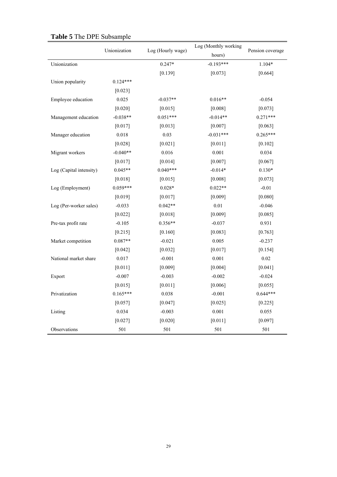|                         |              |                   | Log (Monthly working |                  |
|-------------------------|--------------|-------------------|----------------------|------------------|
|                         | Unionization | Log (Hourly wage) | hours)               | Pension coverage |
| Unionization            |              | $0.247*$          | $-0.193***$          | 1.104*           |
|                         |              | [0.139]           | [0.073]              | [0.664]          |
| Union popularity        | $0.124***$   |                   |                      |                  |
|                         | [0.023]      |                   |                      |                  |
| Employee education      | 0.025        | $-0.037**$        | $0.016**$            | $-0.054$         |
|                         | [0.020]      | [0.015]           | [0.008]              | [0.073]          |
| Management education    | $-0.038**$   | $0.051***$        | $-0.014**$           | $0.271***$       |
|                         | [0.017]      | [0.013]           | [0.007]              | [0.063]          |
| Manager education       | 0.018        | 0.03              | $-0.031***$          | $0.265***$       |
|                         | [0.028]      | $[0.021]$         | [0.011]              | [0.102]          |
| Migrant workers         | $-0.040**$   | 0.016             | 0.001                | 0.034            |
|                         | [0.017]      | [0.014]           | [0.007]              | [0.067]          |
| Log (Capital intensity) | $0.045**$    | $0.040***$        | $-0.014*$            | $0.130*$         |
|                         | [0.018]      | [0.015]           | [0.008]              | [0.073]          |
| Log (Employment)        | $0.059***$   | $0.028*$          | $0.022**$            | $-0.01$          |
|                         | [0.019]      | [0.017]           | [0.009]              | [0.080]          |
| Log (Per-worker sales)  | $-0.033$     | $0.042**$         | 0.01                 | $-0.046$         |
|                         | [0.022]      | [0.018]           | [0.009]              | [0.085]          |
| Pre-tax profit rate     | $-0.105$     | $0.356**$         | $-0.037$             | 0.931            |
|                         | [0.215]      | [0.160]           | [0.083]              | [0.763]          |
| Market competition      | $0.087**$    | $-0.021$          | 0.005                | $-0.237$         |
|                         | [0.042]      | [0.032]           | [0.017]              | [0.154]          |
| National market share   | 0.017        | $-0.001$          | 0.001                | 0.02             |
|                         | [0.011]      | [0.009]           | [0.004]              | [0.041]          |
| Export                  | $-0.007$     | $-0.003$          | $-0.002$             | $-0.024$         |
|                         | [0.015]      | [0.011]           | [0.006]              | [0.055]          |
| Privatization           | $0.165***$   | 0.038             | $-0.001$             | $0.644***$       |
|                         | [0.057]      | [0.047]           | [0.025]              | [0.225]          |
| Listing                 | 0.034        | $-0.003$          | 0.001                | 0.055            |
|                         | [0.027]      | [0.020]           | [0.011]              | [0.097]          |
| Observations            | 501          | 501               | 501                  | 501              |

# **Table 5** The DPE Subsample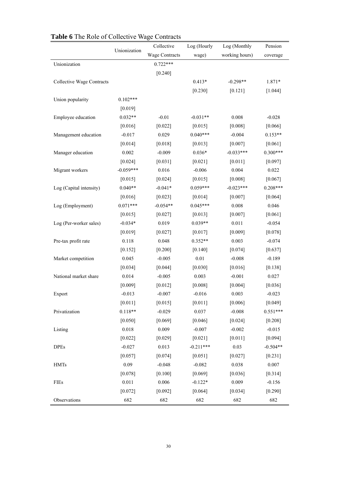| <b>rapic o</b> The Role of Concentre Wage |              |                |             |                |            |
|-------------------------------------------|--------------|----------------|-------------|----------------|------------|
|                                           | Unionization | Collective     | Log (Hourly | Log (Monthly   | Pension    |
|                                           |              | Wage Contracts | wage)       | working hours) | coverage   |
| Unionization                              |              | $0.722***$     |             |                |            |
|                                           |              | [0.240]        |             |                |            |
| Collective Wage Contracts                 |              |                | $0.413*$    | $-0.298**$     | 1.871*     |
|                                           |              |                | [0.230]     | [0.121]        | [1.044]    |
| Union popularity                          | $0.102***$   |                |             |                |            |
|                                           | [0.019]      |                |             |                |            |
| Employee education                        | $0.032**$    | $-0.01$        | $-0.031**$  | 0.008          | $-0.028$   |
|                                           | [0.016]      | [0.022]        | [0.015]     | [0.008]        | [0.066]    |
| Management education                      | $-0.017$     | 0.029          | $0.040***$  | $-0.004$       | $0.153**$  |
|                                           | $[0.014]$    | [0.018]        | [0.013]     | [0.007]        | [0.061]    |
| Manager education                         | 0.002        | $-0.009$       | $0.036*$    | $-0.033***$    | $0.300***$ |
|                                           | $[0.024]$    | [0.031]        | $[0.021]$   | [0.011]        | [0.097]    |
| Migrant workers                           | $-0.059***$  | 0.016          | $-0.006$    | 0.004          | 0.022      |
|                                           | [0.015]      | $[0.024]$      | [0.015]     | [0.008]        | [0.067]    |
| Log (Capital intensity)                   | $0.040**$    | $-0.041*$      | $0.059***$  | $-0.023***$    | $0.208***$ |
|                                           | [0.016]      | [0.023]        | [0.014]     | [0.007]        | [0.064]    |
| Log (Employment)                          | $0.071***$   | $-0.054**$     | $0.045***$  | 0.008          | 0.046      |
|                                           | [0.015]      | [0.027]        | [0.013]     | [0.007]        | [0.061]    |
| Log (Per-worker sales)                    | $-0.034*$    | 0.019          | $0.039**$   | $0.011\,$      | $-0.054$   |
|                                           | $[0.019]$    | [0.027]        | [0.017]     | [0.009]        | [0.078]    |
| Pre-tax profit rate                       | 0.118        | 0.048          | $0.352**$   | 0.003          | $-0.074$   |
|                                           | [0.152]      | $[0.200]$      | [0.140]     | [0.074]        | [0.637]    |
| Market competition                        | 0.045        | $-0.005$       | $0.01\,$    | $-0.008$       | $-0.189$   |
|                                           | [0.034]      | [0.044]        | $[0.030]$   | [0.016]        | [0.138]    |
| National market share                     | 0.014        | $-0.005$       | 0.003       | $-0.001$       | 0.027      |
|                                           | [0.009]      | $[0.012]$      | [0.008]     | [0.004]        | [0.036]    |
| Export                                    | $-0.013$     | $-0.007$       | $-0.016$    | 0.003          | $-0.023$   |
|                                           | [0.011]      | [0.015]        | [0.011]     | [0.006]        | [0.049]    |
| Privatization                             | $0.118**$    | $-0.029$       | 0.037       | $-0.008$       | $0.551***$ |
|                                           | $[0.050]$    | [0.069]        | [0.046]     | [0.024]        | $[0.208]$  |
| Listing                                   | 0.018        | 0.009          | $-0.007$    | $-0.002$       | $-0.015$   |
|                                           | [0.022]      | [0.029]        | $[0.021]$   | $[0.011]$      | [0.094]    |
| <b>DPEs</b>                               | $-0.027$     | 0.013          | $-0.211***$ | 0.03           | $-0.504**$ |
|                                           | [0.057]      | [0.074]        | [0.051]     | [0.027]        | $[0.231]$  |
| <b>HMTs</b>                               | 0.09         | $-0.048$       | $-0.082$    | 0.038          | 0.007      |
|                                           | [0.078]      | [0.100]        | [0.069]     | [0.036]        | [0.314]    |
| FIEs                                      | 0.011        | 0.006          | $-0.122*$   | 0.009          | $-0.156$   |
|                                           | $[0.072]$    | [0.092]        | $[0.064]$   | [0.034]        | [0.290]    |
| Observations                              | 682          | 682            | 682         | 682            | 682        |
|                                           |              |                |             |                |            |

# **Table 6** The Role of Collective Wage Contracts